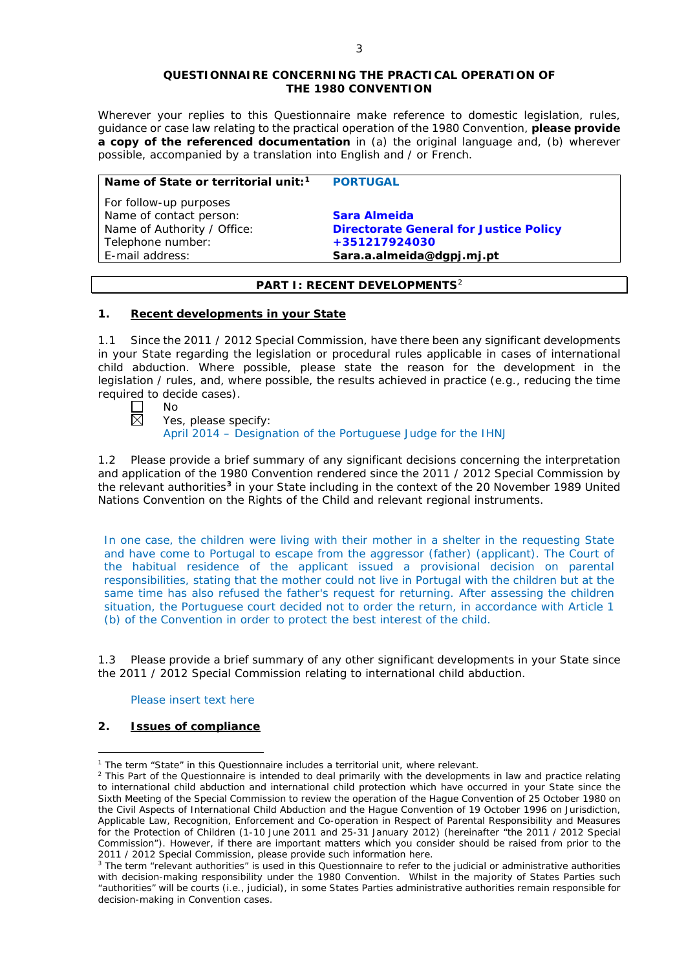#### **QUESTIONNAIRE CONCERNING THE PRACTICAL OPERATION OF THE 1980 CONVENTION**

*Wherever your replies to this Questionnaire make reference to domestic legislation, rules, guidance or case law relating to the practical operation of the 1980 Convention, please provide a copy of the referenced documentation in (a) the original language and, (b) wherever possible, accompanied by a translation into English and / or French.* 

| Name of State or territorial unit: <sup>1</sup> | <b>PORTUGAL</b>                               |
|-------------------------------------------------|-----------------------------------------------|
| For follow-up purposes                          |                                               |
| Name of contact person:                         | Sara Almeida                                  |
| Name of Authority / Office:                     | <b>Directorate General for Justice Policy</b> |
| Telephone number:                               | +351217924030                                 |
| E-mail address:                                 | Sara.a.almeida@dgpj.mj.pt                     |

## **PART I: RECENT DEVELOPMENTS**[2](#page-0-1)

#### **1. Recent developments in your State**

1.1 Since the 2011 / 2012 Special Commission, have there been any significant developments in your State regarding the legislation or procedural rules applicable in cases of international child abduction. Where possible, please state the reason for the development in the legislation / rules, and, where possible, the results achieved in practice (*e.g.*, reducing the time required to decide cases).

| л<br>ר |
|--------|
|        |

Yes, please specify:

April 2014 – Designation of the Portuguese Judge for the IHNJ

1.2 Please provide a brief summary of any significant decisions concerning the interpretation and application of the 1980 Convention rendered since the 2011 / 2012 Special Commission by the relevant authorities**[3](#page-0-2)** in your State including in the context of the 20 November 1989 United Nations Convention on the Rights of the Child and relevant regional instruments.

In one case, the children were living with their mother in a shelter in the requesting State and have come to Portugal to escape from the aggressor (father) (applicant). The Court of the habitual residence of the applicant issued a provisional decision on parental responsibilities, stating that the mother could not live in Portugal with the children but at the same time has also refused the father's request for returning. After assessing the children situation, the Portuguese court decided not to order the return, in accordance with Article 1 (b) of the Convention in order to protect the best interest of the child.

1.3 Please provide a brief summary of any other significant developments in your State since the 2011 / 2012 Special Commission relating to international child abduction.

### Please insert text here

# **2. Issues of compliance**

<u>.</u>

<span id="page-0-0"></span><sup>&</sup>lt;sup>1</sup> The term "State" in this Questionnaire includes a territorial unit, where relevant.

<span id="page-0-1"></span> $<sup>2</sup>$  This Part of the Questionnaire is intended to deal primarily with the developments in law and practice relating</sup> to international child abduction and international child protection which have occurred in your State since the Sixth Meeting of the Special Commission to review the operation of the *Hague Convention of 25 October 1980 on the Civil Aspects of International Child Abduction* and the *Hague Convention of 19 October 1996 on Jurisdiction, Applicable Law, Recognition, Enforcement and Co-operation in Respect of Parental Responsibility and Measures for the Protection of Children* (1-10 June 2011 and 25-31 January 2012) (hereinafter "the 2011 / 2012 Special Commission"). However, if there are important matters which you consider should be raised from *prior to* the 2011 / 2012 Special Commission, please provide such information here.

<span id="page-0-2"></span><sup>&</sup>lt;sup>3</sup> The term "relevant authorities" is used in this Questionnaire to refer to the judicial or administrative authorities with decision-making responsibility under the 1980 Convention. Whilst in the majority of States Parties such "authorities" will be courts (*i.e.*, judicial), in some States Parties administrative authorities remain responsible for decision-making in Convention cases.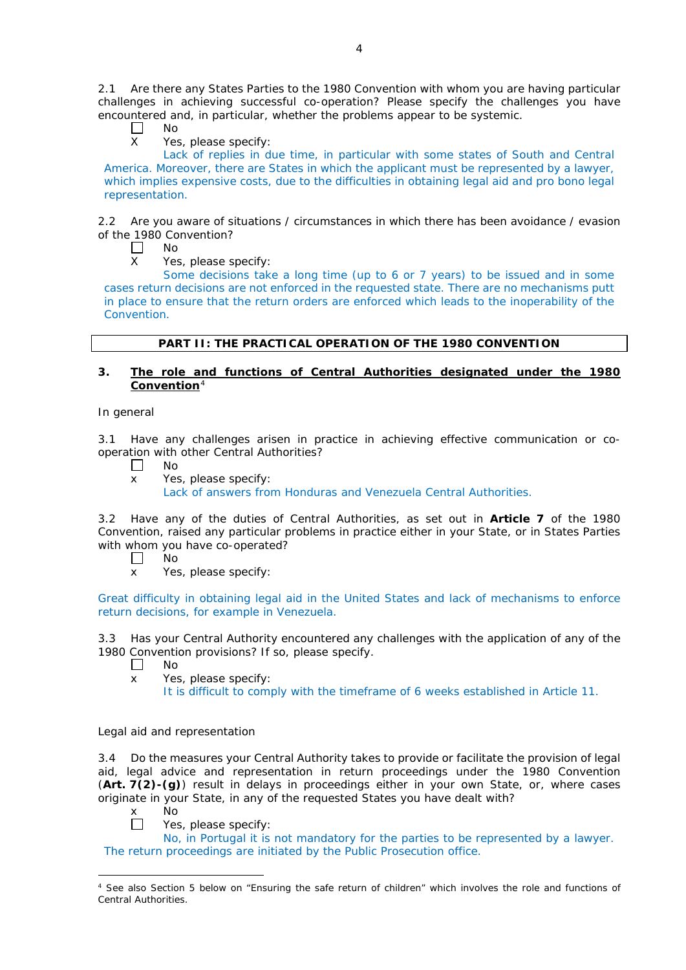2.1 Are there any States Parties to the 1980 Convention with whom you are having particular challenges in achieving successful co-operation? Please specify the challenges you have encountered and, in particular, whether the problems appear to be systemic.

- $\Box$ No
- X Yes, please specify:

Lack of replies in due time, in particular with some states of South and Central America. Moreover, there are States in which the applicant must be represented by a lawyer, which implies expensive costs, due to the difficulties in obtaining legal aid and *pro bono* legal representation.

2.2 Are you aware of situations / circumstances in which there has been avoidance / evasion of the 1980 Convention?

 $\Box$ No

X Yes, please specify:

Some decisions take a long time (up to 6 or 7 years) to be issued and in some cases return decisions are not enforced in the requested state. There are no mechanisms putt in place to ensure that the return orders are enforced which leads to the inoperability of the Convention.

## **PART II: THE PRACTICAL OPERATION OF THE 1980 CONVENTION**

### **3. The role and functions of Central Authorities designated under the 1980 Convention**[4](#page-1-0)

### *In general*

3.1 Have any challenges arisen in practice in achieving effective communication or cooperation with other Central Authorities?

- $\Box$ No
- x Yes, please specify:

Lack of answers from Honduras and Venezuela Central Authorities.

3.2 Have any of the duties of Central Authorities, as set out in **Article 7** of the 1980 Convention, raised any particular problems in practice either in your State, or in States Parties with whom you have co-operated?

 $\Box$ No

x Yes, please specify:

Great difficulty in obtaining legal aid in the United States and lack of mechanisms to enforce return decisions, for example in Venezuela.

3.3 Has your Central Authority encountered any challenges with the application of any of the 1980 Convention provisions? If so, please specify.

- $\Box$ No
- x Yes, please specify:

It is difficult to comply with the timeframe of 6 weeks established in Article 11.

### *Legal aid and representation*

3.4 Do the measures your Central Authority takes to provide or facilitate the provision of legal aid, legal advice and representation in return proceedings under the 1980 Convention (**Art. 7(2)-(g)**) result in delays in proceedings either in your own State, or, where cases originate in your State, in any of the requested States you have dealt with?

- x No<br>□ Yes
	- Yes, please specify:

No, in Portugal it is not mandatory for the parties to be represented by a lawyer. The return proceedings are initiated by the Public Prosecution office.

<span id="page-1-0"></span><sup>-</sup><sup>4</sup> See also Section 5 below on "Ensuring the safe return of children" which involves the role and functions of Central Authorities.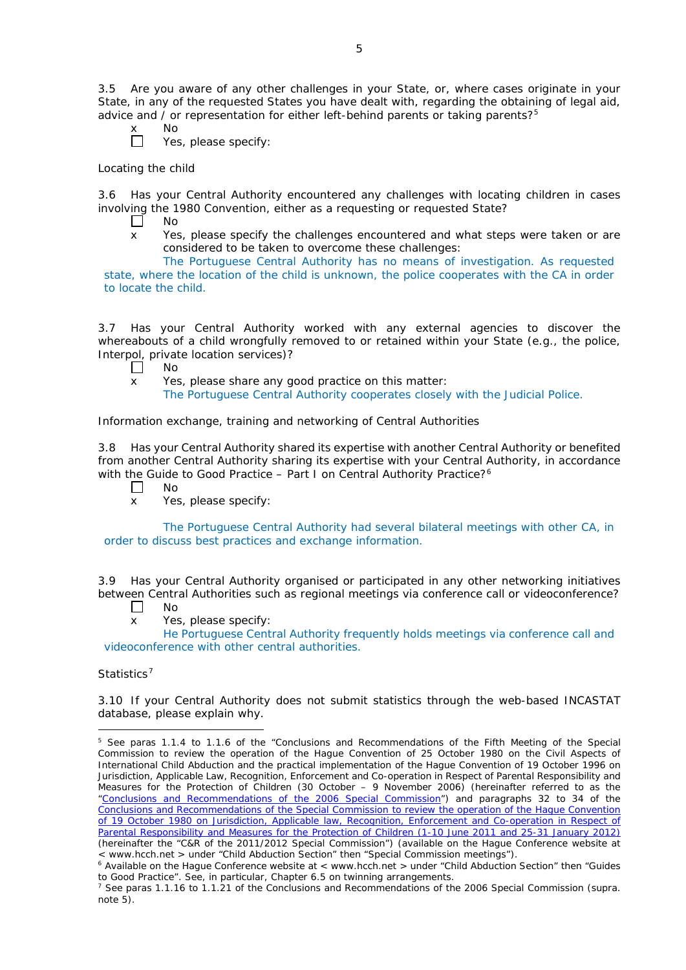3.5 Are you aware of any other challenges in your State, or, where cases originate in your State, in any of the requested States you have dealt with, regarding the obtaining of legal aid, advice and / or representation for either left-behind parents or taking parents? $5$ 

- $N<sub>O</sub>$ 
	- Yes, please specify:

### *Locating the child*

 $\Box$ 

3.6 Has your Central Authority encountered any challenges with locating children in cases involving the 1980 Convention, either as a requesting or requested State?<br>  $\Box$  No

- No
- x Yes, please specify the challenges encountered and what steps were taken or are considered to be taken to overcome these challenges:

The Portuguese Central Authority has no means of investigation. As requested state, where the location of the child is unknown, the police cooperates with the CA in order to locate the child.

3.7 Has your Central Authority worked with any external agencies to discover the whereabouts of a child wrongfully removed to or retained within your State (*e.g.*, the police, Interpol, private location services)?

- $\Box$ No
- x Yes, please share any good practice on this matter:
	- The Portuguese Central Authority cooperates closely with the Judicial Police.

### *Information exchange, training and networking of Central Authorities*

3.8 Has your Central Authority shared its expertise with another Central Authority or benefited from another Central Authority sharing its expertise with your Central Authority, in accordance with the Guide to Good Practice – Part I on Central Authority Practice?<sup>[6](#page-2-1)</sup>

- $\Box$ No
- x Yes, please specify:

The Portuguese Central Authority had several bilateral meetings with other CA, in order to discuss best practices and exchange information.

3.9 Has your Central Authority organised or participated in any other networking initiatives between Central Authorities such as regional meetings via conference call or videoconference?

- $\perp$ No
- x Yes, please specify:

He Portuguese Central Authority frequently holds meetings via conference call and videoconference with other central authorities.

## *Statistics*[7](#page-2-2)

<u>.</u>

3.10 If your Central Authority does not submit statistics through the web-based INCASTAT database, please explain why.

<span id="page-2-0"></span><sup>5</sup> See paras 1.1.4 to 1.1.6 of the "Conclusions and Recommendations of the Fifth Meeting of the Special Commission to review the operation of the *Hague Convention of 25 October 1980 on the Civil Aspects of International Child Abduction* and the practical implementation of the *Hague Convention of 19 October 1996 on Jurisdiction, Applicable Law, Recognition, Enforcement and Co-operation in Respect of Parental Responsibility and Measures for the Protection of Children* (30 October – 9 November 2006) (hereinafter referred to as the ["Conclusions and Recommendations of the 2006 Special Commission"](https://assets.hcch.net/upload/concl28sc5_e.pdf)) and paragraphs 32 to 34 of the [Conclusions and Recommendations of the Special Commission](https://assets.hcch.net/upload/wop/concl28sc6_e.pdf) to review the operation of the Hague Convention of *19 October 1980 on Jurisdiction, Applicable law, [Recognition, Enforcement and Co-operation in Respect of](https://assets.hcch.net/upload/wop/concl28sc6_e.pdf)  [Parental Responsibility and Measures for the Protection of Children](https://assets.hcch.net/upload/wop/concl28sc6_e.pdf)* (1-10 June 2011 and 25-31 January 2012) (hereinafter the "C&R of the 2011/2012 Special Commission") (available on the Hague Conference website at < www.hcch.net > under "Child Abduction Section" then "Special Commission meetings").

<span id="page-2-1"></span> $6$  Available on the Hague Conference website at < www.hcch.net > under "Child Abduction Section" then "Guides to Good Practice". See, in particular, Chapter 6.5 on twinning arrangements.

<span id="page-2-2"></span><sup>7</sup> See paras 1.1.16 to 1.1.21 of the Conclusions and Recommendations of the 2006 Special Commission (*supra.*  note  $5$ ).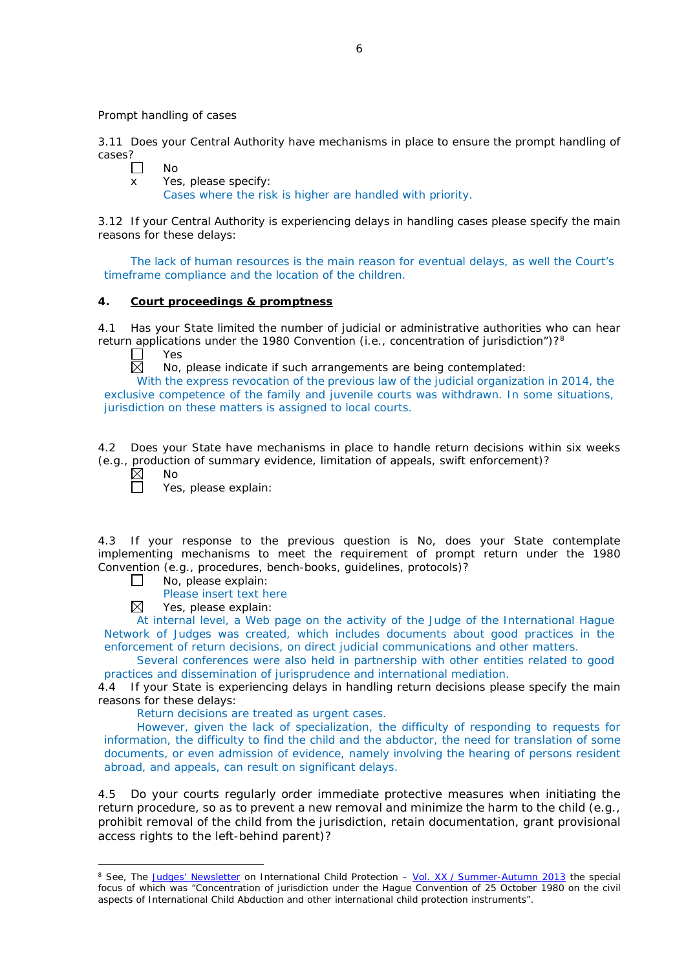*Prompt handling of cases*

3.11 Does your Central Authority have mechanisms in place to ensure the prompt handling of cases?

| $\Box$       | Nο                                                        |
|--------------|-----------------------------------------------------------|
| $\mathsf{x}$ | Yes, please specify:                                      |
|              | Cases where the risk is higher are handled with priority. |

3.12 If your Central Authority is experiencing delays in handling cases please specify the main reasons for these delays:

The lack of human resources is the main reason for eventual delays, as well the Court's timeframe compliance and the location of the children.

## **4. Court proceedings & promptness**

4.1 Has your State limited the number of judicial or administrative authorities who can hear return applications under the 19[8](#page-3-0)0 Convention (*i.e.*, concentration of jurisdiction")?<sup>8</sup>

Yes

反 No, please indicate if such arrangements are being contemplated:

With the express revocation of the previous law of the judicial organization in 2014, the exclusive competence of the family and juvenile courts was withdrawn. In some situations, jurisdiction on these matters is assigned to local courts.

4.2 Does your State have mechanisms in place to handle return decisions within six weeks (*e.g.*, production of summary evidence, limitation of appeals, swift enforcement)?

 $\boxtimes$ 

-

No

Yes, please explain:

4.3 If your response to the previous question is No, does your State contemplate implementing mechanisms to meet the requirement of prompt return under the 1980 Convention (*e.g.*, procedures, bench-books, guidelines, protocols)?

 $\Box$ No, please explain:

Please insert text here

 $\boxtimes$ Yes, please explain:

At internal level, a Web page on the activity of the Judge of the International Hague Network of Judges was created, which includes documents about good practices in the enforcement of return decisions, on direct judicial communications and other matters.

Several conferences were also held in partnership with other entities related to good practices and dissemination of jurisprudence and international mediation.

4.4 If your State is experiencing delays in handling return decisions please specify the main reasons for these delays:

Return decisions are treated as urgent cases.

However, given the lack of specialization, the difficulty of responding to requests for information, the difficulty to find the child and the abductor, the need for translation of some documents, or even admission of evidence, namely involving the hearing of persons resident abroad, and appeals, can result on significant delays.

4.5 Do your courts regularly order immediate protective measures when initiating the return procedure, so as to prevent a new removal and minimize the harm to the child (*e.g.*, prohibit removal of the child from the jurisdiction, retain documentation, grant provisional access rights to the left-behind parent)?

<span id="page-3-0"></span><sup>8</sup> See, *The [Judges' Newsletter](https://www.hcch.net/en/instruments/conventions/publications2/judges-newsletter)* on International Child Protection – Vol. XX / [Summer-Autumn 2013](https://assets.hcch.net/upload/newsletter/nl2013tome20en.pdf) the special focus of which was "Concentration of jurisdiction under the *Hague Convention of 25 October 1980 on the civil aspects of International Child Abduction* and other international child protection instruments".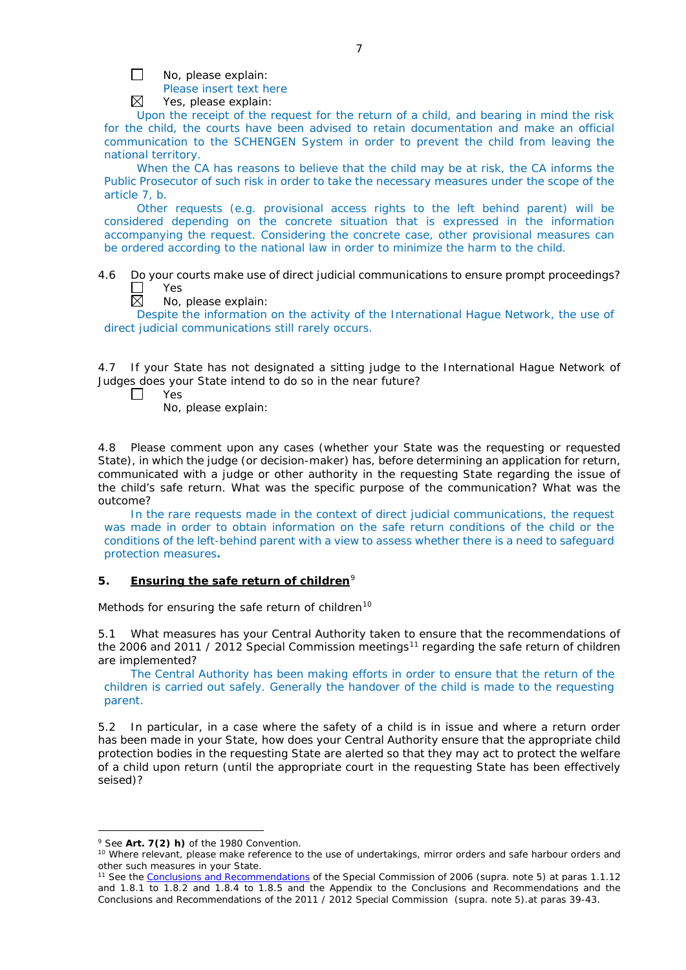П No, please explain:

Please insert text here

 $\boxtimes$ Yes, please explain:

Upon the receipt of the request for the return of a child, and bearing in mind the risk for the child, the courts have been advised to retain documentation and make an official communication to the SCHENGEN System in order to prevent the child from leaving the national territory.

When the CA has reasons to believe that the child may be at risk, the CA informs the Public Prosecutor of such risk in order to take the necessary measures under the scope of the article 7, b.

Other requests (*e.g.* provisional access rights to the left behind parent) will be considered depending on the concrete situation that is expressed in the information accompanying the request. Considering the concrete case, other provisional measures can be ordered according to the national law in order to minimize the harm to the child.

4.6 Do your courts make use of direct judicial communications to ensure prompt proceedings? Г Yes

反 No, please explain:

Despite the information on the activity of the International Hague Network, the use of direct judicial communications still rarely occurs.

4.7 If your State has not designated a sitting judge to the International Hague Network of Judges does your State intend to do so in the near future?

П Yes

No, please explain:

4.8 Please comment upon any cases (whether your State was the requesting or requested State), in which the judge (or decision-maker) has, before determining an application for return, communicated with a judge or other authority in the requesting State regarding the issue of the child's safe return. What was the specific purpose of the communication? What was the outcome?

In the rare requests made in the context of direct judicial communications, the request was made in order to obtain information on the safe return conditions of the child or the conditions of the left-behind parent with a view to assess whether there is a need to safeguard protection measures**.**

### **5. Ensuring the safe return of children**[9](#page-4-0)

*Methods for ensuring the safe return of children*[10](#page-4-1)

5.1 What measures has your Central Authority taken to ensure that the recommendations of the 2006 and 20[11](#page-4-2) / 2012 Special Commission meetings<sup>11</sup> regarding the safe return of children are implemented?

The Central Authority has been making efforts in order to ensure that the return of the children is carried out safely. Generally the handover of the child is made to the requesting parent.

5.2 In particular, in a case where the safety of a child is in issue and where a return order has been made in your State, how does your Central Authority ensure that the appropriate child protection bodies in the *requesting* State are alerted so that they may act to protect the welfare of a child upon return (until the appropriate court in the requesting State has been effectively seised)?

-

<span id="page-4-0"></span><sup>9</sup> See **Art. 7(2)** *h)* of the 1980 Convention.

<span id="page-4-1"></span><sup>&</sup>lt;sup>10</sup> Where relevant, please make reference to the use of undertakings, mirror orders and safe harbour orders and other such measures in your State.

<span id="page-4-2"></span><sup>11</sup> See the [Conclusions and Recommendations](https://assets.hcch.net/upload/concl28sc5_e.pdf) of the Special Commission of 2006 (*supra.* note 5) at paras 1.1.12 and 1.8.1 to 1.8.2 and 1.8.4 to 1.8.5 and the Appendix to the Conclusions and Recommendations and the [Conclusions and Recommendations of the 2011](https://assets.hcch.net/upload/wop/concl28sc6_e.pdf) / 2012 Special Commission (*supra.* note 5).at paras 39-43.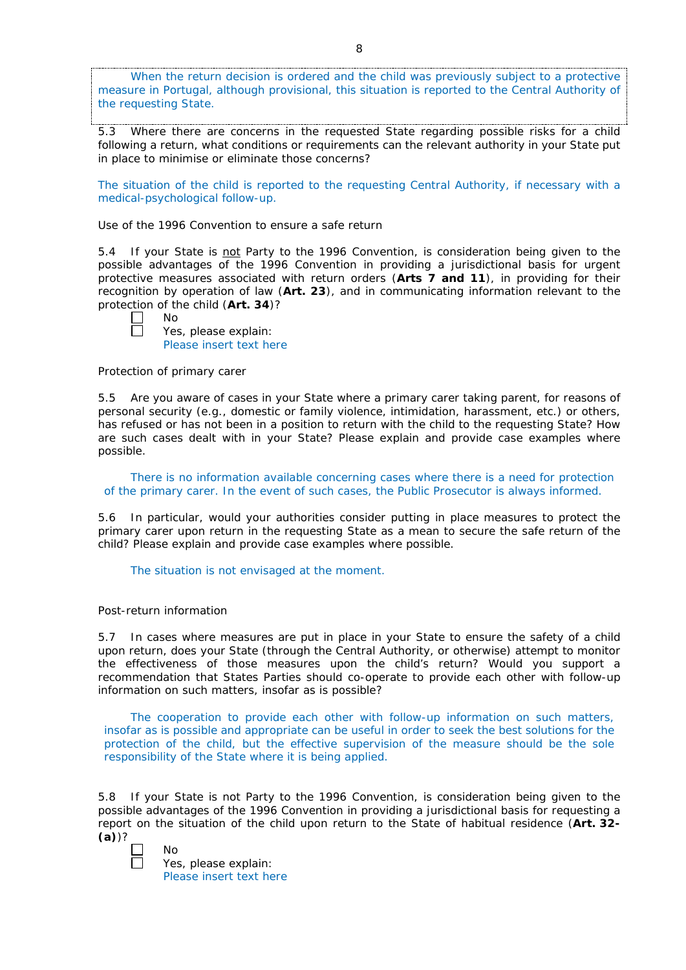When the return decision is ordered and the child was previously subject to a protective measure in Portugal, although provisional, this situation is reported to the Central Authority of the requesting State.

5.3 Where there are concerns in the requested State regarding possible risks for a child following a return, what conditions or requirements can the relevant authority in your State put in place to minimise or eliminate those concerns?

The situation of the child is reported to the requesting Central Authority, if necessary with a medical-psychological follow-up.

*Use of the 1996 Convention to ensure a safe return*

5.4 If your State is not Party to the 1996 Convention, is consideration being given to the possible advantages of the 1996 Convention in providing a jurisdictional basis for urgent protective measures associated with return orders (**Arts 7 and 11**), in providing for their recognition by operation of law (**Art. 23**), and in communicating information relevant to the protection of the child (**Art. 34**)?

No Yes, please explain: Please insert text here

*Protection of primary carer*

5.5 Are you aware of cases in your State where a primary carer taking parent, for reasons of personal security (*e.g.*, domestic or family violence, intimidation, harassment, etc.) or others, has refused or has not been in a position to return with the child to the requesting State? How are such cases dealt with in your State? Please explain and provide case examples where possible.

There is no information available concerning cases where there is a need for protection of the primary carer. In the event of such cases, the Public Prosecutor is always informed.

5.6 In particular, would your authorities consider putting in place measures to protect the primary carer upon return in the requesting State as a mean to secure the safe return of the child? Please explain and provide case examples where possible.

The situation is not envisaged at the moment.

### *Post-return information*

5.7 In cases where measures are put in place in your State to ensure the safety of a child upon return, does your State (through the Central Authority, or otherwise) attempt to monitor the effectiveness of those measures upon the child's return? Would you support a recommendation that States Parties should co-operate to provide each other with follow-up information on such matters, insofar as is possible?

The cooperation to provide each other with follow-up information on such matters, insofar as is possible and appropriate can be useful in order to seek the best solutions for the protection of the child, but the effective supervision of the measure should be the sole responsibility of the State where it is being applied.

5.8 If your State is not Party to the 1996 Convention, is consideration being given to the possible advantages of the 1996 Convention in providing a jurisdictional basis for requesting a report on the situation of the child upon return to the State of habitual residence (**Art. 32- (a)**)?

| ν |
|---|
|   |

Yes, please explain: Please insert text here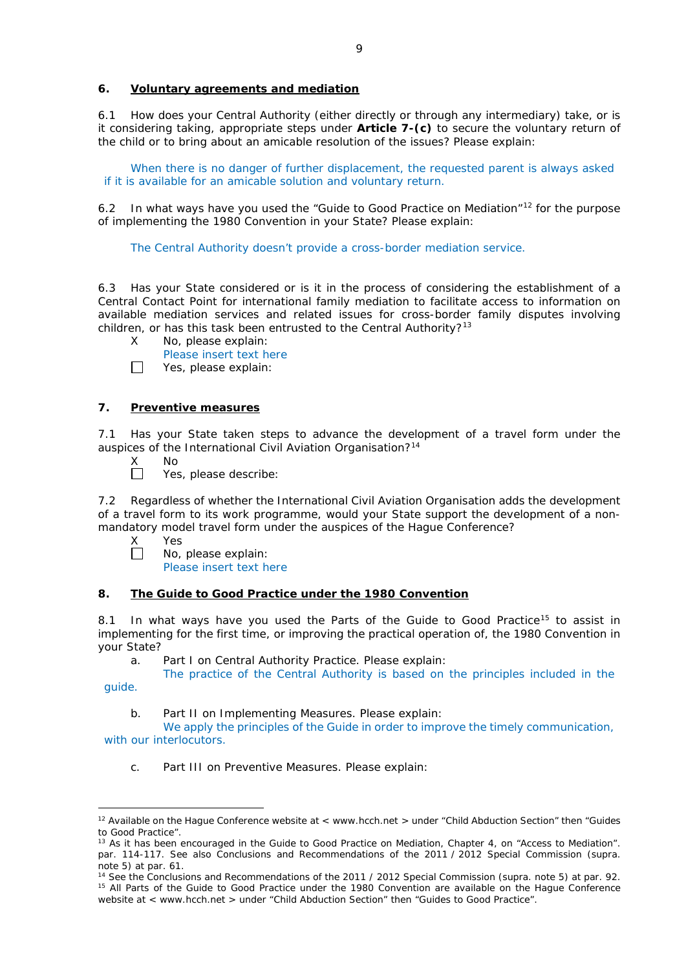### **6. Voluntary agreements and mediation**

6.1 How does your Central Authority (either directly or through any intermediary) take, or is it considering taking, appropriate steps under **Article 7-(c)** to secure the voluntary return of the child or to bring about an amicable resolution of the issues? Please explain:

When there is no danger of further displacement, the requested parent is always asked if it is available for an amicable solution and voluntary return.

6.2 In what ways have you used the "Guide to Good Practice on Mediation"<sup>[12](#page-6-0)</sup> for the purpose of implementing the 1980 Convention in your State? Please explain:

The Central Authority doesn't provide a cross-border mediation service.

6.3 Has your State considered or is it in the process of considering the establishment of a Central Contact Point for international family mediation to facilitate access to information on available mediation services and related issues for cross-border family disputes involving children, or has this task been entrusted to the Central Authority?<sup>[13](#page-6-1)</sup>

- X No, please explain:
	- Please insert text here
- П Yes, please explain:

### **7. Preventive measures**

7.1 Has your State taken steps to advance the development of a travel form under the auspices of the International Civil Aviation Organisation?<sup>[14](#page-6-2)</sup>

- 
- X No<br>□ Yes Yes, please describe:

7.2 Regardless of whether the International Civil Aviation Organisation adds the development of a travel form to its work programme, would your State support the development of a nonmandatory model travel form under the auspices of the Hague Conference?

- X Yes<br>□ No.
	- No, please explain:

Please insert text here

### **8. The Guide to Good Practice under the 1980 Convention**

8.1 In what ways have you used the Parts of the Guide to Good Practice<sup>[15](#page-6-3)</sup> to assist in implementing for the first time, or improving the practical operation of, the 1980 Convention in your State?

a. Part I on Central Authority Practice. Please explain:

The practice of the Central Authority is based on the principles included in the

guide.

b. Part II on Implementing Measures. Please explain:

We apply the principles of the Guide in order to improve the timely communication, with our interlocutors.

c. Part III on Preventive Measures. Please explain:

<span id="page-6-0"></span><sup>&</sup>lt;u>.</u> <sup>12</sup> Available on the Hague Conference website at < www.hcch.net > under "Child Abduction Section" then "Guides to Good Practice".

<span id="page-6-1"></span><sup>&</sup>lt;sup>13</sup> As it has been encouraged in the Guide to Good Practice on Mediation, Chapter 4, on "Access to Mediation". par. 114-117. See also [Conclusions and Recommendations of the 2011](https://assets.hcch.net/upload/wop/concl28sc6_e.pdf) / 2012 Special Commission (*supra.* note 5) at par. 61.

<span id="page-6-3"></span><span id="page-6-2"></span><sup>14</sup> See the [Conclusions and Recommendations of the 2011](https://assets.hcch.net/upload/wop/concl28sc6_e.pdf) / 2012 Special Commission (*supra.* note 5) at par. 92. <sup>15</sup> All Parts of the Guide to Good Practice under the 1980 Convention are available on the Hague Conference website at < www.hcch.net > under "Child Abduction Section" then "Guides to Good Practice".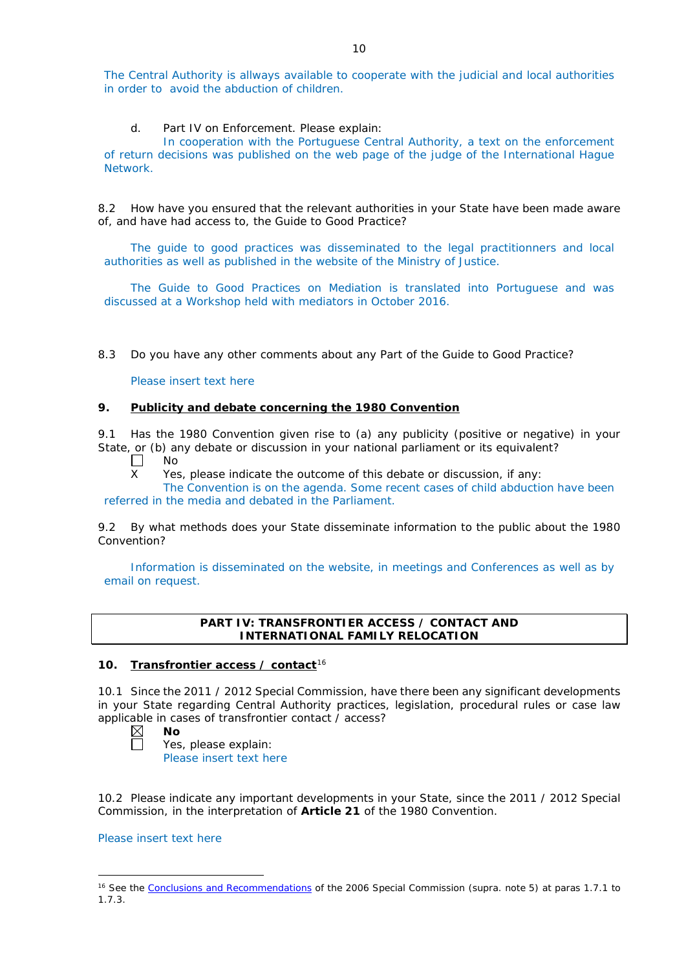The Central Authority is allways available to cooperate with the judicial and local authorities in order to avoid the abduction of children.

d. Part IV on Enforcement. Please explain:

In cooperation with the Portuguese Central Authority, a text on the enforcement of return decisions was published on the web page of the judge of the International Hague Network.

8.2 How have you ensured that the relevant authorities in your State have been made aware of, and have had access to, the Guide to Good Practice?

The guide to good practices was disseminated to the legal practitionners and local authorities as well as published in the website of the Ministry of Justice.

The Guide to Good Practices on Mediation is translated into Portuguese and was discussed at a Workshop held with mediators in October 2016.

8.3 Do you have any other comments about any Part of the Guide to Good Practice?

Please insert text here

### **9. Publicity and debate concerning the 1980 Convention**

9.1 Has the 1980 Convention given rise to (a) any publicity (positive or negative) in your State, or (b) any debate or discussion in your national parliament or its equivalent?

- $\Box$ No
- X Yes, please indicate the outcome of this debate or discussion, if any:

The Convention is on the agenda. Some recent cases of child abduction have been referred in the media and debated in the Parliament.

9.2 By what methods does your State disseminate information to the public about the 1980 Convention?

Information is disseminated on the website, in meetings and Conferences as well as by email on request.

#### **PART IV: TRANSFRONTIER ACCESS / CONTACT AND INTERNATIONAL FAMILY RELOCATION**

## **10. Transfrontier access / contact**[16](#page-7-0)

10.1 Since the 2011 / 2012 Special Commission, have there been any significant developments in your State regarding Central Authority practices, legislation, procedural rules or case law applicable in cases of transfrontier contact / access?<br> $\boxtimes$  **No**<br>Yes, please explain:

- **No**
	- Yes, please explain: Please insert text here

10.2 Please indicate any important developments in your State, since the 2011 / 2012 Special Commission, in the interpretation of **Article 21** of the 1980 Convention.

## Please insert text here

-

<span id="page-7-0"></span><sup>16</sup> See the [Conclusions and Recommendations](https://assets.hcch.net/upload/concl28sc5_e.pdf) of the 2006 Special Commission (*supra.* note 5) at paras 1.7.1 to 1.7.3.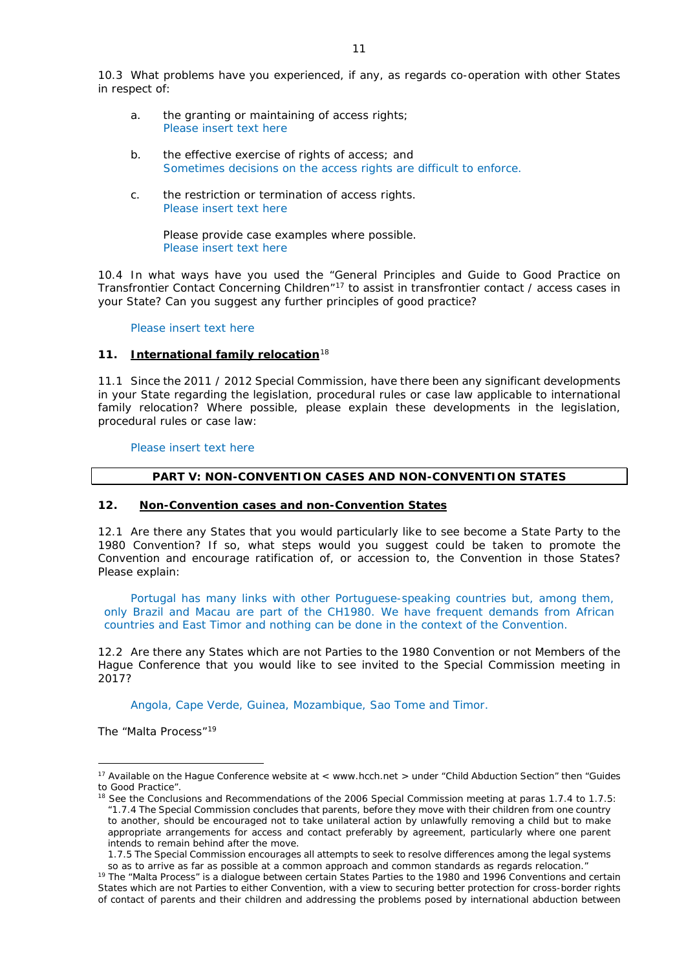10.3 What problems have you experienced, if any, as regards co-operation with other States in respect of:

- a. the granting or maintaining of access rights; Please insert text here
- b. the effective exercise of rights of access; and Sometimes decisions on the access rights are difficult to enforce.
- c. the restriction or termination of access rights. Please insert text here

Please provide case examples where possible. Please insert text here

10.4 In what ways have you used the "General Principles and Guide to Good Practice on Transfrontier Contact Concerning Children"[17](#page-8-0) to assist in transfrontier contact / access cases in your State? Can you suggest any further principles of good practice?

#### Please insert text here

### **11. International family relocation**[18](#page-8-1)

11.1 Since the 2011 / 2012 Special Commission, have there been any significant developments in your State regarding the legislation, procedural rules or case law applicable to international family relocation? Where possible, please explain these developments in the legislation, procedural rules or case law:

Please insert text here

#### **PART V: NON-CONVENTION CASES AND NON-CONVENTION STATES**

#### **12. Non-Convention cases and non-Convention States**

12.1 Are there any States that you would particularly like to see become a State Party to the 1980 Convention? If so, what steps would you suggest could be taken to promote the Convention and encourage ratification of, or accession to, the Convention in those States? Please explain:

Portugal has many links with other Portuguese-speaking countries but, among them, only Brazil and Macau are part of the CH1980. We have frequent demands from African countries and East Timor and nothing can be done in the context of the Convention.

12.2 Are there any States which are not Parties to the 1980 Convention or not Members of the Hague Conference that you would like to see invited to the Special Commission meeting in 2017?

Angola, Cape Verde, Guinea, Mozambique, Sao Tome and Timor.

*The "Malta Process"*[19](#page-8-2)

<u>.</u>

<span id="page-8-0"></span><sup>&</sup>lt;sup>17</sup> Available on the Hague Conference website at < www.hcch.net > under "Child Abduction Section" then "Guides to Good Practice".

<span id="page-8-1"></span><sup>&</sup>lt;sup>18</sup> See the Conclusions and Recommendations of the 2006 Special Commission meeting at paras 1.7.4 to 1.7.5: *"*1.7.4 The Special Commission concludes that parents, before they move with their children from one country to another, should be encouraged not to take unilateral action by unlawfully removing a child but to make appropriate arrangements for access and contact preferably by agreement, particularly where one parent intends to remain behind after the move.

<sup>1.7.5</sup> The Special Commission encourages all attempts to seek to resolve differences among the legal systems so as to arrive as far as possible at a common approach and common standards as regards relocation."

<span id="page-8-2"></span><sup>19</sup> The "Malta Process" is a dialogue between certain States Parties to the 1980 and 1996 Conventions and certain States which are not Parties to either Convention, with a view to securing better protection for cross-border rights of contact of parents and their children and addressing the problems posed by international abduction between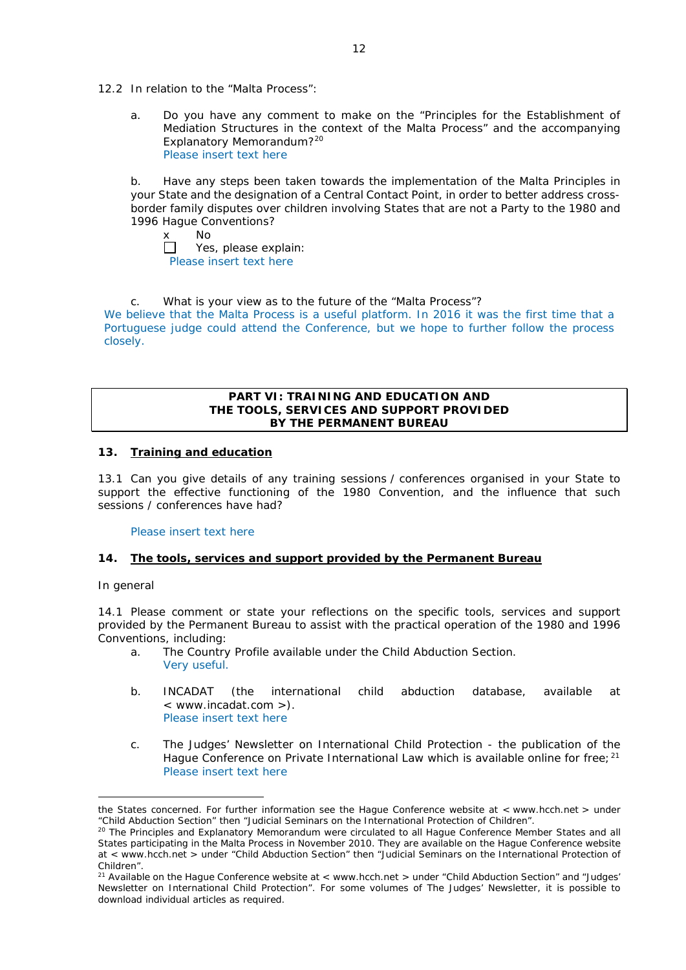- 12.2 In relation to the "Malta Process":
	- a. Do you have any comment to make on the "Principles for the Establishment of Mediation Structures in the context of the Malta Process" and the accompanying Explanatory Memorandum?[20](#page-9-0) Please insert text here

b. Have any steps been taken towards the implementation of the Malta Principles in your State and the designation of a Central Contact Point, in order to better address crossborder family disputes over children involving States that are not a Party to the 1980 and 1996 Hague Conventions?

x No<br>□ Yes Yes, please explain: Please insert text here

c. What is your view as to the future of the "Malta Process"? We believe that the Malta Process is a useful platform. In 2016 it was the first time that a Portuguese judge could attend the Conference, but we hope to further follow the process closely.

### **PART VI: TRAINING AND EDUCATION AND THE TOOLS, SERVICES AND SUPPORT PROVIDED BY THE PERMANENT BUREAU**

### **13. Training and education**

13.1 Can you give details of any training sessions / conferences organised in your State to support the effective functioning of the 1980 Convention, and the influence that such sessions / conferences have had?

### Please insert text here

### **14. The tools, services and support provided by the Permanent Bureau**

### *In general*

14.1 Please comment or state your reflections on the specific tools, services and support provided by the Permanent Bureau to assist with the practical operation of the 1980 and 1996 Conventions, including:

- a. The Country Profile available under the Child Abduction Section. Very useful.
- b. INCADAT (the international child abduction database, available at < www.incadat.com >). Please insert text here
- c. *The Judges' Newsletter* on International Child Protection the publication of the Hague Conference on Private International Law which is available online for free;<sup>[21](#page-9-1)</sup> Please insert text here

<sup>&</sup>lt;u>.</u> the States concerned. For further information see the Hague Conference website at < www.hcch.net > under "Child Abduction Section" then "Judicial Seminars on the International Protection of Children".

<span id="page-9-0"></span><sup>&</sup>lt;sup>20</sup> The Principles and Explanatory Memorandum were circulated to all Hague Conference Member States and all States participating in the Malta Process in November 2010. They are available on the Hague Conference website at < www.hcch.net > under "Child Abduction Section" then "Judicial Seminars on the International Protection of Children".

<span id="page-9-1"></span><sup>&</sup>lt;sup>21</sup> Available on the Hague Conference website at < www.hcch.net > under "Child Abduction Section" and "Judges' Newsletter on International Child Protection". For some volumes of *The Judges' Newsletter*, it is possible to download individual articles as required.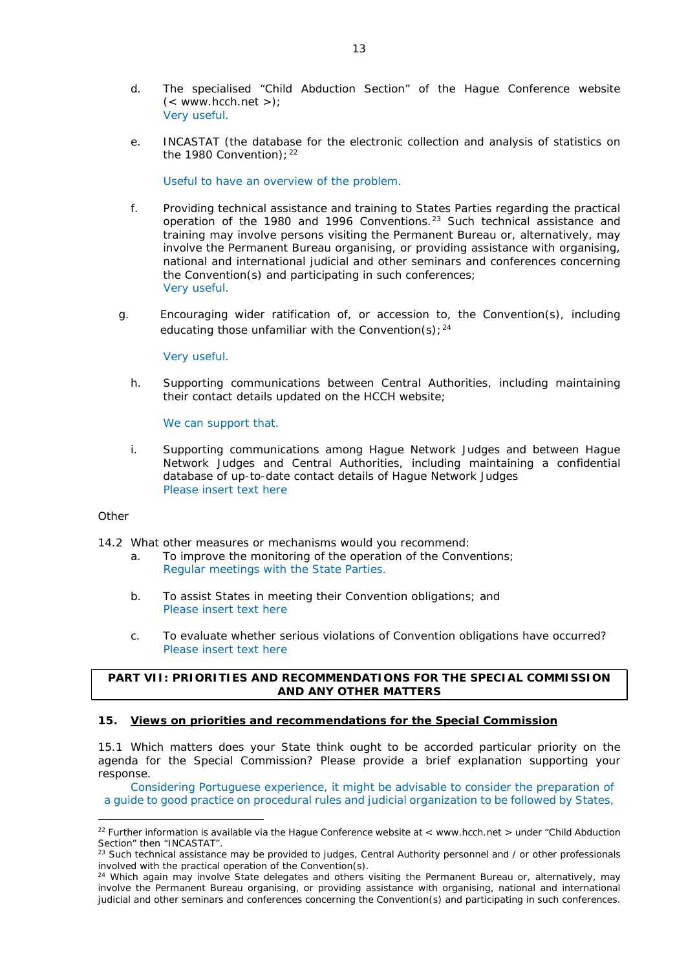- d. The specialised "Child Abduction Section" of the Hague Conference website  $(<$  www.hcch.net >); Very useful.
- e. INCASTAT (the database for the electronic collection and analysis of statistics on the 1980 Convention);  $22$

Useful to have an overview of the problem.

- f. Providing technical assistance and training to States Parties regarding the practical operation of the 1980 and 1996 Conventions.[23](#page-10-1) Such technical assistance and training may involve persons visiting the Permanent Bureau or, alternatively, may involve the Permanent Bureau organising, or providing assistance with organising, national and international judicial and other seminars and conferences concerning the Convention(s) and participating in such conferences; Very useful.
- g. Encouraging wider ratification of, or accession to, the Convention(s), including educating those unfamiliar with the Convention(s);  $24$

#### Very useful.

h. Supporting communications between Central Authorities, including maintaining their contact details updated on the HCCH website;

We can support that.

i. Supporting communications among Hague Network Judges and between Hague Network Judges and Central Authorities, including maintaining a confidential database of up-to-date contact details of Hague Network Judges Please insert text here

#### *Other*

<u>.</u>

- 14.2 What other measures or mechanisms would you recommend:
	- a. To improve the monitoring of the operation of the Conventions; Regular meetings with the State Parties.
	- b. To assist States in meeting their Convention obligations; and Please insert text here
	- c. To evaluate whether serious violations of Convention obligations have occurred? Please insert text here

### **PART VII: PRIORITIES AND RECOMMENDATIONS FOR THE SPECIAL COMMISSION AND ANY OTHER MATTERS**

#### **15. Views on priorities and recommendations for the Special Commission**

15.1 Which matters does your State think ought to be accorded particular priority on the agenda for the Special Commission? Please provide a brief explanation supporting your response.

Considering Portuguese experience, it might be advisable to consider the preparation of a guide to good practice on procedural rules and judicial organization to be followed by States,

<span id="page-10-0"></span><sup>&</sup>lt;sup>22</sup> Further information is available via the Hague Conference website at < www.hcch.net > under "Child Abduction Section" then "INCASTAT".

<span id="page-10-1"></span> $^{23}$  Such technical assistance may be provided to judges, Central Authority personnel and / or other professionals involved with the practical operation of the Convention(s).

<span id="page-10-2"></span><sup>&</sup>lt;sup>24</sup> Which again may involve State delegates and others visiting the Permanent Bureau or, alternatively, may involve the Permanent Bureau organising, or providing assistance with organising, national and international judicial and other seminars and conferences concerning the Convention(s) and participating in such conferences.